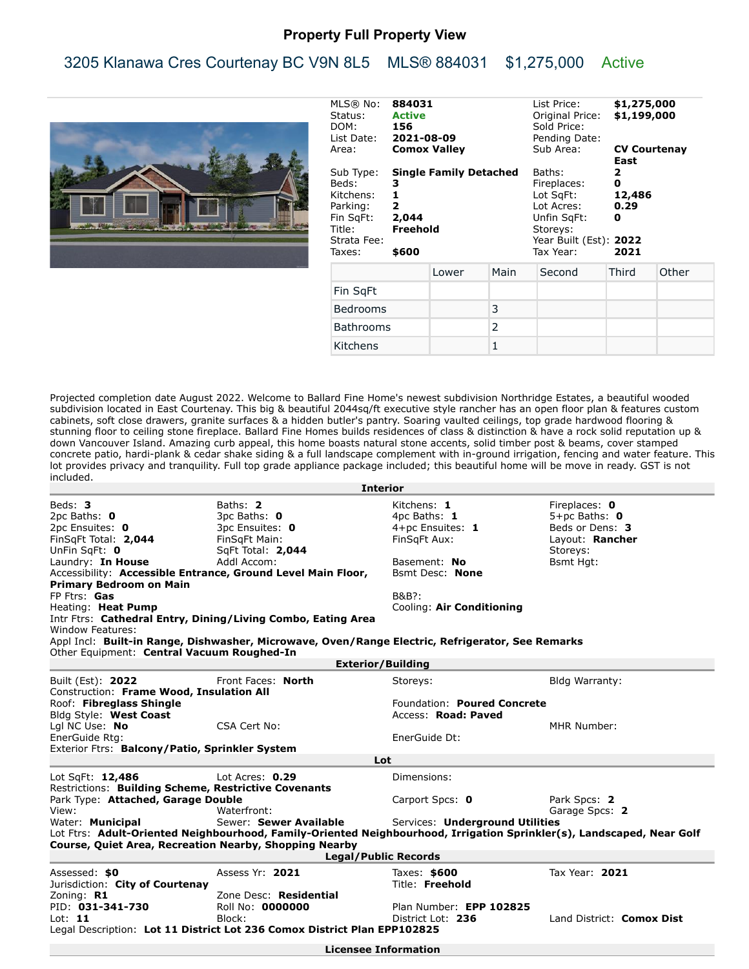## **Property Full Property View**

## 3205 Klanawa Cres Courtenay BC V9N 8L5 MLS® 884031 \$1,275,000 Active



| MLS® No:<br>884031<br><b>Active</b><br>Status:<br>DOM: 156<br>List Date: 2021-08-09<br><b>Comox Valley</b><br>Area: |                                                     |                               | List Price:<br>Original Price:<br>Sold Price:<br>Pending Date:<br>Sub Area: | East                                                                                                               | \$1,275,000<br>\$1,199,000<br><b>CV Courtenay</b> |       |
|---------------------------------------------------------------------------------------------------------------------|-----------------------------------------------------|-------------------------------|-----------------------------------------------------------------------------|--------------------------------------------------------------------------------------------------------------------|---------------------------------------------------|-------|
| Sub Type:<br>Beds:<br>Kitchens:<br>Parking:<br>Fin SqFt:<br>Title: Freehold<br>Strata Fee:<br>Taxes:                | з<br>1<br>$\overline{\mathbf{2}}$<br>2,044<br>\$600 | <b>Single Family Detached</b> |                                                                             | Baths:<br>Fireplaces:<br>Lot SgFt:<br>Lot Acres:<br>Unfin SqFt:<br>Storeys:<br>Year Built (Est): 2022<br>Tax Year: | 2<br>O<br>12,486<br>0.29<br>0<br>2021             |       |
|                                                                                                                     |                                                     | Lower                         | Main                                                                        | Second                                                                                                             | Third                                             | Other |
| Fin SqFt                                                                                                            |                                                     |                               |                                                                             |                                                                                                                    |                                                   |       |
| Bedrooms                                                                                                            |                                                     |                               | 3                                                                           |                                                                                                                    |                                                   |       |
| <b>Bathrooms</b>                                                                                                    |                                                     |                               | 2                                                                           |                                                                                                                    |                                                   |       |
| Kitchens                                                                                                            |                                                     |                               | $\mathbf{1}$                                                                |                                                                                                                    |                                                   |       |

Projected completion date August 2022. Welcome to Ballard Fine Home's newest subdivision Northridge Estates, a beautiful wooded subdivision located in East Courtenay. This big & beautiful 2044sq/ft executive style rancher has an open floor plan & features custom cabinets, soft close drawers, granite surfaces & a hidden butler's pantry. Soaring vaulted ceilings, top grade hardwood flooring & stunning floor to ceiling stone fireplace. Ballard Fine Homes builds residences of class & distinction & have a rock solid reputation up & down Vancouver Island. Amazing curb appeal, this home boasts natural stone accents, solid timber post & beams, cover stamped concrete patio, hardi-plank & cedar shake siding & a full landscape complement with in-ground irrigation, fencing and water feature. This lot provides privacy and tranquility. Full top grade appliance package included; this beautiful home will be move in ready. GST is not included.

| <b>Interior</b>                                                                                                       |                                                                                                  |                                 |                           |  |  |  |  |
|-----------------------------------------------------------------------------------------------------------------------|--------------------------------------------------------------------------------------------------|---------------------------------|---------------------------|--|--|--|--|
| Beds: <b>3</b>                                                                                                        | Baths: 2                                                                                         | Kitchens: 1                     | Fireplaces: 0             |  |  |  |  |
| 2pc Baths: 0                                                                                                          | 3pc Baths: 0                                                                                     | 4pc Baths: 1                    | $5+pc$ Baths: $0$         |  |  |  |  |
| 2pc Ensuites: 0                                                                                                       | 3pc Ensuites: 0                                                                                  | 4+pc Ensuites: 1                | Beds or Dens: 3           |  |  |  |  |
| FinSqFt Total: 2,044                                                                                                  | FinSqFt Main:                                                                                    | FinSqFt Aux:                    | Layout: Rancher           |  |  |  |  |
| UnFin SqFt: 0                                                                                                         | SqFt Total: 2,044                                                                                |                                 | Storeys:                  |  |  |  |  |
| Laundry: In House                                                                                                     | Addl Accom:                                                                                      | Basement: No                    | <b>Bsmt Hgt:</b>          |  |  |  |  |
| Accessibility: Accessible Entrance, Ground Level Main Floor,                                                          |                                                                                                  | <b>Bsmt Desc: None</b>          |                           |  |  |  |  |
| <b>Primary Bedroom on Main</b>                                                                                        |                                                                                                  |                                 |                           |  |  |  |  |
| FP Ftrs: Gas                                                                                                          |                                                                                                  | B&B?:                           |                           |  |  |  |  |
| Heating: Heat Pump                                                                                                    |                                                                                                  | Cooling: Air Conditioning       |                           |  |  |  |  |
|                                                                                                                       | Intr Ftrs: Cathedral Entry, Dining/Living Combo, Eating Area                                     |                                 |                           |  |  |  |  |
| Window Features:                                                                                                      |                                                                                                  |                                 |                           |  |  |  |  |
|                                                                                                                       | Appl Incl: Built-in Range, Dishwasher, Microwave, Oven/Range Electric, Refrigerator, See Remarks |                                 |                           |  |  |  |  |
| Other Equipment: Central Vacuum Roughed-In<br><b>Exterior/Building</b>                                                |                                                                                                  |                                 |                           |  |  |  |  |
| Built (Est): 2022                                                                                                     | Front Faces: North                                                                               | Storeys:                        | Bldg Warranty:            |  |  |  |  |
| Construction: Frame Wood, Insulation All                                                                              |                                                                                                  |                                 |                           |  |  |  |  |
| Roof: Fibreglass Shingle                                                                                              |                                                                                                  | Foundation: Poured Concrete     |                           |  |  |  |  |
| Bldg Style: West Coast                                                                                                |                                                                                                  | Access: Road: Paved             |                           |  |  |  |  |
| Lgl NC Use: No                                                                                                        | CSA Cert No:                                                                                     |                                 | MHR Number:               |  |  |  |  |
| EnerGuide Rtg:                                                                                                        |                                                                                                  | EnerGuide Dt:                   |                           |  |  |  |  |
| Exterior Ftrs: Balcony/Patio, Sprinkler System                                                                        |                                                                                                  |                                 |                           |  |  |  |  |
|                                                                                                                       | Lot                                                                                              |                                 |                           |  |  |  |  |
| Lot SqFt: 12,486                                                                                                      | Lot Acres: $0.29$                                                                                | Dimensions:                     |                           |  |  |  |  |
| Restrictions: Building Scheme, Restrictive Covenants                                                                  |                                                                                                  |                                 |                           |  |  |  |  |
| Park Type: Attached, Garage Double                                                                                    |                                                                                                  | Carport Spcs: 0                 | Park Spcs: 2              |  |  |  |  |
| View:                                                                                                                 | Waterfront:                                                                                      |                                 | Garage Spcs: 2            |  |  |  |  |
| Water: Municipal                                                                                                      | Sewer: Sewer Available                                                                           | Services: Underground Utilities |                           |  |  |  |  |
| Lot Ftrs: Adult-Oriented Neighbourhood, Family-Oriented Neighbourhood, Irrigation Sprinkler(s), Landscaped, Near Golf |                                                                                                  |                                 |                           |  |  |  |  |
| <b>Course, Quiet Area, Recreation Nearby, Shopping Nearby</b>                                                         |                                                                                                  |                                 |                           |  |  |  |  |
| <b>Legal/Public Records</b>                                                                                           |                                                                                                  |                                 |                           |  |  |  |  |
| Assessed: \$0                                                                                                         | Assess Yr: 2021                                                                                  | Taxes: \$600                    | Tax Year: 2021            |  |  |  |  |
| Jurisdiction: City of Courtenay                                                                                       |                                                                                                  | Title: Freehold                 |                           |  |  |  |  |
| Zoning: R1                                                                                                            | Zone Desc: Residential                                                                           |                                 |                           |  |  |  |  |
| PID: 031-341-730                                                                                                      | Roll No: 0000000                                                                                 | Plan Number: EPP 102825         |                           |  |  |  |  |
| Lot: $11$                                                                                                             | Block:                                                                                           | District Lot: 236               | Land District: Comox Dist |  |  |  |  |
|                                                                                                                       | Legal Description: Lot 11 District Lot 236 Comox District Plan EPP102825                         |                                 |                           |  |  |  |  |
| <b>Licensee Information</b>                                                                                           |                                                                                                  |                                 |                           |  |  |  |  |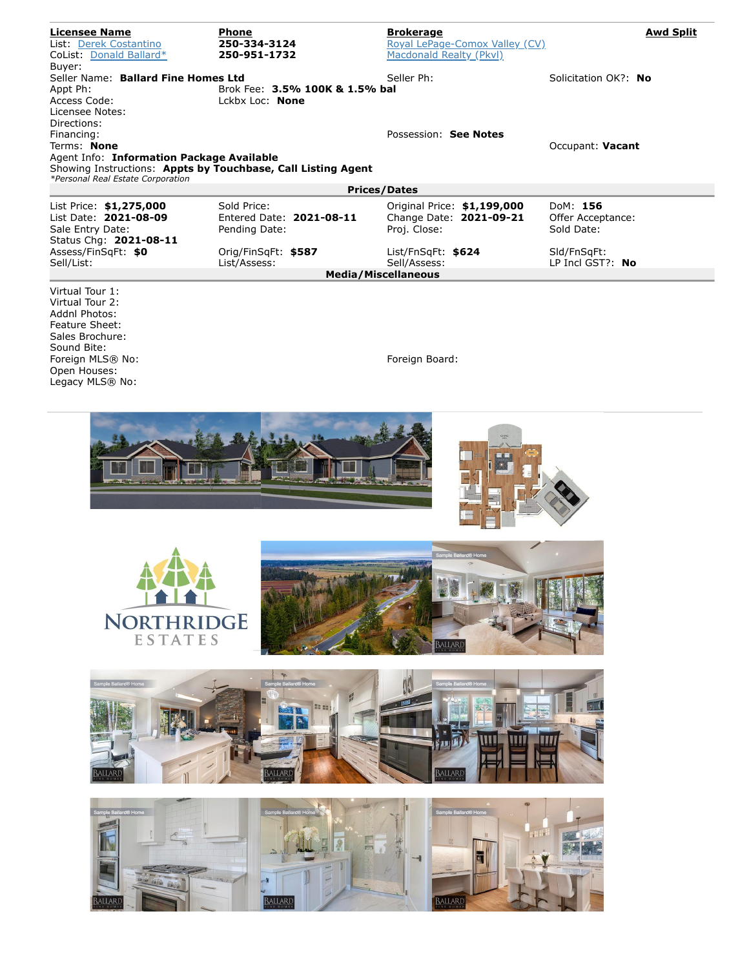| <b>Licensee Name</b>                                     | <b>Phone</b>                                                 | <b>Brokerage</b>               | <b>Awd Split</b>     |  |  |  |  |
|----------------------------------------------------------|--------------------------------------------------------------|--------------------------------|----------------------|--|--|--|--|
| List: Derek Costantino                                   | 250-334-3124                                                 | Royal LePage-Comox Valley (CV) |                      |  |  |  |  |
| CoList: Donald Ballard*                                  | 250-951-1732                                                 | Macdonald Realty (Pkvl)        |                      |  |  |  |  |
| Buver:                                                   |                                                              |                                |                      |  |  |  |  |
| Seller Name: Ballard Fine Homes Ltd                      |                                                              | Seller Ph:                     | Solicitation OK?: No |  |  |  |  |
| Appt Ph:                                                 | Brok Fee: 3.5% 100K & 1.5% bal                               |                                |                      |  |  |  |  |
| Access Code:                                             | Lckbx Loc: None                                              |                                |                      |  |  |  |  |
| Licensee Notes:                                          |                                                              |                                |                      |  |  |  |  |
| Directions:                                              |                                                              |                                |                      |  |  |  |  |
| Financing:                                               |                                                              | Possession: See Notes          |                      |  |  |  |  |
| Terms: None                                              |                                                              |                                | Occupant: Vacant     |  |  |  |  |
| Agent Info: Information Package Available                |                                                              |                                |                      |  |  |  |  |
|                                                          | Showing Instructions: Appts by Touchbase, Call Listing Agent |                                |                      |  |  |  |  |
| *Personal Real Estate Corporation<br><b>Prices/Dates</b> |                                                              |                                |                      |  |  |  |  |
|                                                          |                                                              |                                |                      |  |  |  |  |
| List Price: \$1,275,000                                  | Sold Price:                                                  | Original Price: \$1,199,000    | DoM: 156             |  |  |  |  |
| List Date: 2021-08-09                                    | Entered Date: 2021-08-11                                     | Change Date: 2021-09-21        | Offer Acceptance:    |  |  |  |  |
| Sale Entry Date:                                         | Pending Date:                                                | Proj. Close:                   | Sold Date:           |  |  |  |  |
| Status Chg: 2021-08-11                                   |                                                              |                                |                      |  |  |  |  |
| Assess/FinSqFt: \$0                                      | Orig/FinSqFt: \$587                                          | List/FnSqFt: \$624             | SId/FnSqFt:          |  |  |  |  |
| Sell/List:                                               | List/Assess:                                                 | Sell/Assess:                   | LP Incl GST?: $No$   |  |  |  |  |
|                                                          |                                                              | <b>Media/Miscellaneous</b>     |                      |  |  |  |  |
| Virtual Tour 1:                                          |                                                              |                                |                      |  |  |  |  |
| Virtual Tour 2:                                          |                                                              |                                |                      |  |  |  |  |
| Addnl Photos:                                            |                                                              |                                |                      |  |  |  |  |
| <b>Feature Sheet:</b>                                    |                                                              |                                |                      |  |  |  |  |
| Sales Brochure:                                          |                                                              |                                |                      |  |  |  |  |
| Sound Bite:                                              |                                                              |                                |                      |  |  |  |  |
| Foreign MLS® No:                                         |                                                              | Foreign Board:                 |                      |  |  |  |  |
| Open Houses:                                             |                                                              |                                |                      |  |  |  |  |
| Legacy MLS® No:                                          |                                                              |                                |                      |  |  |  |  |
|                                                          |                                                              |                                |                      |  |  |  |  |
|                                                          |                                                              |                                |                      |  |  |  |  |
|                                                          |                                                              |                                |                      |  |  |  |  |
| The country                                              |                                                              | 露                              |                      |  |  |  |  |











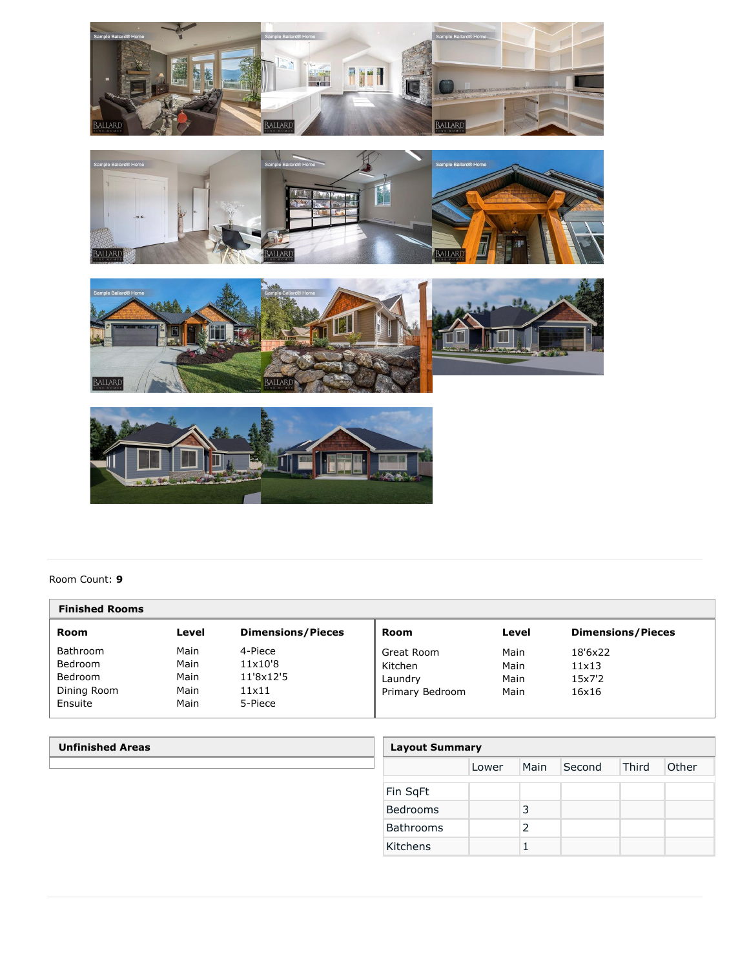







## Room Count: **9**

| <b>Finished Rooms</b> |       |                          |                 |       |                          |  |
|-----------------------|-------|--------------------------|-----------------|-------|--------------------------|--|
| Room                  | Level | <b>Dimensions/Pieces</b> | Room            | Level | <b>Dimensions/Pieces</b> |  |
| Bathroom              | Main  | 4-Piece                  | Great Room      | Main  | 18'6x22                  |  |
| Bedroom               | Main  | 11x10'8                  | Kitchen         | Main  | $11\times13$             |  |
| Bedroom               | Main  | 11'8x12'5                | Laundry         | Main  | 15x7'2                   |  |
| Dining Room           | Main  | 11×11                    | Primary Bedroom | Main  | 16x16                    |  |
| Ensuite               | Main  | 5-Piece                  |                 |       |                          |  |

| <b>Unfinished Areas</b> | <b>Layout Summary</b> |       |      |        |       |       |
|-------------------------|-----------------------|-------|------|--------|-------|-------|
|                         |                       | Lower | Main | Second | Third | Other |
|                         | Fin SqFt              |       |      |        |       |       |
|                         | Bedrooms              |       | 3    |        |       |       |
|                         | Bathrooms             |       | 2    |        |       |       |
|                         | Kitchens              |       |      |        |       |       |